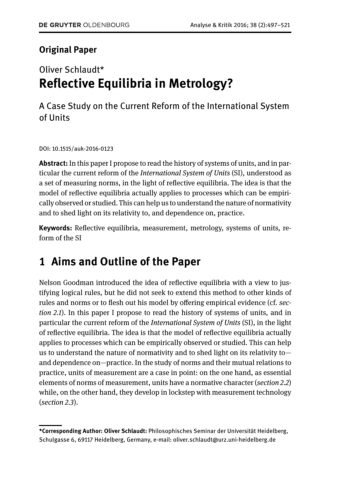### **Original Paper**

## Oliver Schlaudt\* **Reflective Equilibria in Metrology?**

A Case Study on the Current Reform of the International System of Units

DOI: 10.1515/auk-2016-0123

**Abstract:** In this paper I propose to read the history of systems of units, and in particular the current reform of the *International System of Units* (SI), understood as a set of measuring norms, in the light of reflective equilibria. The idea is that the model of reflective equilibria actually applies to processes which can be empirically observed or studied. This can help us to understand the nature of normativity and to shed light on its relativity to, and dependence on, practice.

**Keywords:** Reflective equilibria, measurement, metrology, systems of units, reform of the SI

## **1 Aims and Outline of the Paper**

Nelson Goodman introduced the idea of reflective equilibria with a view to justifying logical rules, but he did not seek to extend this method to other kinds of rules and norms or to flesh out his model by offering empirical evidence (cf. *section 2.1*). In this paper I propose to read the history of systems of units, and in particular the current reform of the *International System of Units* (SI), in the light of reflective equilibria. The idea is that the model of reflective equilibria actually applies to processes which can be empirically observed or studied. This can help us to understand the nature of normativity and to shed light on its relativity toand dependence on—practice. In the study of norms and their mutual relations to practice, units of measurement are a case in point: on the one hand, as essential elements of norms of measurement, units have a normative character (*section 2.2*) while, on the other hand, they develop in lockstep with measurement technology (*section 2.3*).

**<sup>\*</sup>Corresponding Author: Oliver Schlaudt:** Philosophisches Seminar der Universität Heidelberg, Schulgasse 6, 69117 Heidelberg, Germany, e-mail: oliver.schlaudt@urz.uni-heidelberg.de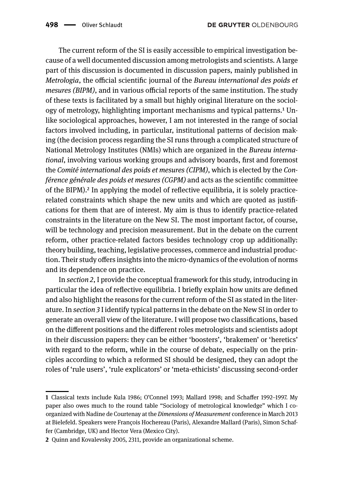The current reform of the SI is easily accessible to empirical investigation because of a well documented discussion among metrologists and scientists. A large part of this discussion is documented in discussion papers, mainly published in *Metrologia*, the official scientific journal of the *Bureau international des poids et mesures (BIPM)*, and in various official reports of the same institution. The study of these texts is facilitated by a small but highly original literature on the sociology of metrology, highlighting important mechanisms and typical patterns.<sup>1</sup> Unlike sociological approaches, however, I am not interested in the range of social factors involved including, in particular, institutional patterns of decision making (the decision process regarding the SI runs through a complicated structure of National Metrology Institutes (NMIs) which are organized in the *Bureau international*, involving various working groups and advisory boards, first and foremost the *Comité international des poids et mesures (CIPM)*, which is elected by the *Conférence générale des poids et mesures (CGPM)* and acts as the scientific committee of the BIPM)[.²](#page-1-1) In applying the model of reflective equilibria, it is solely practicerelated constraints which shape the new units and which are quoted as justifications for them that are of interest. My aim is thus to identify practice-related constraints in the literature on the New SI. The most important factor, of course, will be technology and precision measurement. But in the debate on the current reform, other practice-related factors besides technology crop up additionally: theory building, teaching, legislative processes, commerce and industrial production. Their study offers insights into the micro-dynamics of the evolution of norms and its dependence on practice.

In *section 2*, I provide the conceptual framework for this study, introducing in particular the idea of reflective equilibria. I briefly explain how units are defined and also highlight the reasons for the current reform of the SI as stated in the literature. In *section 3* I identify typical patterns in the debate on the New SI in order to generate an overall view of the literature. I will propose two classifications, based on the different positions and the different roles metrologists and scientists adopt in their discussion papers: they can be either 'boosters', 'brakemen' or 'heretics' with regard to the reform, while in the course of debate, especially on the principles according to which a reformed SI should be designed, they can adopt the roles of 'rule users', 'rule explicators' or 'meta-ethicists' discussing second-order

<span id="page-1-0"></span>**<sup>1</sup>** Classical texts include Kula 1986; O'Connel 1993; Mallard 1998; and Schaffer 1992–1997. My paper also owes much to the round table "Sociology of metrological knowledge" which I coorganized with Nadine de Courtenay at the *Dimensions of Measurement* conference in March 2013 at Bielefeld. Speakers were François Hochereau (Paris), Alexandre Mallard (Paris), Simon Schaffer (Cambridge, UK) and Hector Vera (Mexico City).

<span id="page-1-1"></span>**<sup>2</sup>** Quinn and Kovalevsky 2005, 2311, provide an organizational scheme.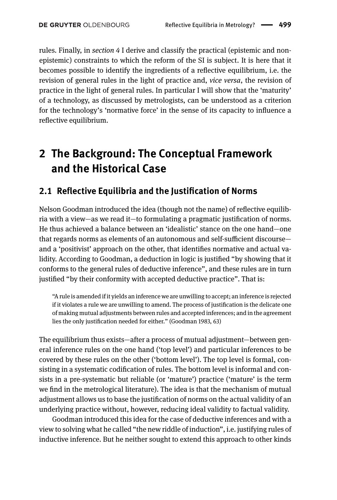rules. Finally, in *section 4* I derive and classify the practical (epistemic and nonepistemic) constraints to which the reform of the SI is subject. It is here that it becomes possible to identify the ingredients of a reflective equilibrium, i.e. the revision of general rules in the light of practice and, *vice versa*, the revision of practice in the light of general rules. In particular I will show that the 'maturity' of a technology, as discussed by metrologists, can be understood as a criterion for the technology's 'normative force' in the sense of its capacity to influence a reflective equilibrium.

# **2 The Background: The Conceptual Framework and the Historical Case**

#### **2.1 Reflective Equilibria and the Justification of Norms**

Nelson Goodman introduced the idea (though not the name) of reflective equilibria with a view—as we read it—to formulating a pragmatic justification of norms. He thus achieved a balance between an 'idealistic' stance on the one hand—one that regards norms as elements of an autonomous and self-sufficient discourse and a 'positivist' approach on the other, that identifies normative and actual validity. According to Goodman, a deduction in logic is justified "by showing that it conforms to the general rules of deductive inference", and these rules are in turn justified "by their conformity with accepted deductive practice". That is:

"A rule is amended if it yields an inference we are unwilling to accept; an inference is rejected if it violates a rule we are unwilling to amend. The process of justification is the delicate one of making mutual adjustments between rules and accepted inferences; and in the agreement lies the only justification needed for either." (Goodman 1983, 63)

The equilibrium thus exists—after a process of mutual adjustment—between general inference rules on the one hand ('top level') and particular inferences to be covered by these rules on the other ('bottom level'). The top level is formal, consisting in a systematic codification of rules. The bottom level is informal and consists in a pre-systematic but reliable (or 'mature') practice ('mature' is the term we find in the metrological literature). The idea is that the mechanism of mutual adjustment allows us to base the justification of norms on the actual validity of an underlying practice without, however, reducing ideal validity to factual validity.

Goodman introduced this idea for the case of deductive inferences and with a view to solving what he called "the new riddle of induction", i.e. justifying rules of inductive inference. But he neither sought to extend this approach to other kinds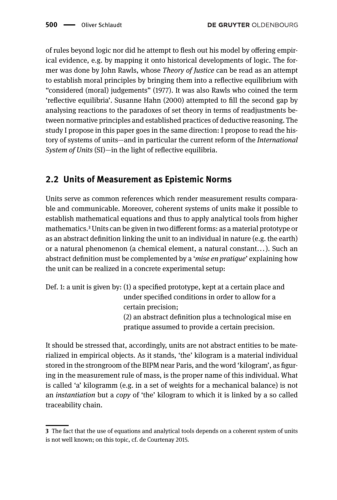of rules beyond logic nor did he attempt to flesh out his model by offering empirical evidence, e.g. by mapping it onto historical developments of logic. The former was done by John Rawls, whose *Theory of Justice* can be read as an attempt to establish moral principles by bringing them into a reflective equilibrium with "considered (moral) judgements" (1977). It was also Rawls who coined the term 'reflective equilibria'. Susanne Hahn (2000) attempted to fill the second gap by analysing reactions to the paradoxes of set theory in terms of readjustments between normative principles and established practices of deductive reasoning. The study I propose in this paper goes in the same direction: I propose to read the history of systems of units—and in particular the current reform of the *International System of Units* (SI)—in the light of reflective equilibria.

### **2.2 Units of Measurement as Epistemic Norms**

Units serve as common references which render measurement results comparable and communicable. Moreover, coherent systems of units make it possible to establish mathematical equations and thus to apply analytical tools from higher mathematics[.³](#page-3-0)Units can be given in two different forms: as a material prototype or as an abstract definition linking the unit to an individual in nature (e.g. the earth) or a natural phenomenon (a chemical element, a natural constant... ). Such an abstract definition must be complemented by a '*mise en pratique*' explaining how the unit can be realized in a concrete experimental setup:

Def. 1: a unit is given by: (1) a specified prototype, kept at a certain place and under specified conditions in order to allow for a certain precision; (2) an abstract definition plus a technological mise en pratique assumed to provide a certain precision.

It should be stressed that, accordingly, units are not abstract entities to be materialized in empirical objects. As it stands, 'the' kilogram is a material individual stored in the strongroom of the BIPM near Paris, and the word 'kilogram', as figuring in the measurement rule of mass, is the proper name of this individual. What is called 'a' kilogramm (e.g. in a set of weights for a mechanical balance) is not an *instantiation* but a *copy* of 'the' kilogram to which it is linked by a so called traceability chain.

<span id="page-3-0"></span>**<sup>3</sup>** The fact that the use of equations and analytical tools depends on a coherent system of units is not well known; on this topic, cf. de Courtenay 2015.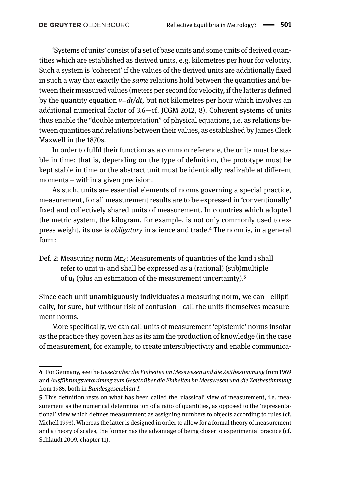'Systems of units' consist of a set of base units and some units of derived quantities which are established as derived units, e.g. kilometres per hour for velocity. Such a system is 'coherent' if the values of the derived units are additionally fixed in such a way that exactly the *same* relations hold between the quantities and between their measured values (meters per second for velocity, if the latter is defined by the quantity equation *v=dr/dt*, but not kilometres per hour which involves an additional numerical factor of 3.6—cf. JCGM 2012, 8). Coherent systems of units thus enable the "double interpretation" of physical equations, i.e. as relations between quantities and relations between their values, as established by James Clerk Maxwell in the 1870s.

In order to fulfil their function as a common reference, the units must be stable in time: that is, depending on the type of definition, the prototype must be kept stable in time or the abstract unit must be identically realizable at different moments – within a given precision.

As such, units are essential elements of norms governing a special practice, measurement, for all measurement results are to be expressed in 'conventionally' fixed and collectively shared units of measurement. In countries which adopted the metric system, the kilogram, for example, is not only commonly used to express weight, its use is *obligatory* in science and trade[.⁴](#page-4-0) The norm is, in a general form:

Def. 2: Measuring norm Mn<sub>i</sub>: Measurements of quantities of the kind i shall refer to unit u*<sup>i</sup>* and shall be expressed as a (rational) (sub)multiple of  $\mathsf{u}_i$  (plus an estimation of the measurement uncertainty). $^5$ 

Since each unit unambiguously individuates a measuring norm, we can—elliptically, for sure, but without risk of confusion—call the units themselves measurement norms.

More specifically, we can call units of measurement 'epistemic' norms insofar as the practice they govern has as its aim the production of knowledge (in the case of measurement, for example, to create intersubjectivity and enable communica-

<span id="page-4-0"></span>**<sup>4</sup>** For Germany, see the*Gesetz über die Einheiten im Messwesen und die Zeitbestimmung* from 1969 and *Ausführungsverordnung zum Gesetz über die Einheiten im Messwesen und die Zeitbestimmung* from 1985, both in *Bundesgesetzblatt I*.

<span id="page-4-1"></span>**<sup>5</sup>** This definition rests on what has been called the 'classical' view of measurement, i.e. measurement as the numerical determination of a ratio of quantities, as opposed to the 'representational' view which defines measurement as assigning numbers to objects according to rules (cf. Michell 1993). Whereas the latter is designed in order to allow for a formal theory of measurement and a theory of scales, the former has the advantage of being closer to experimental practice (cf. Schlaudt 2009, chapter 11).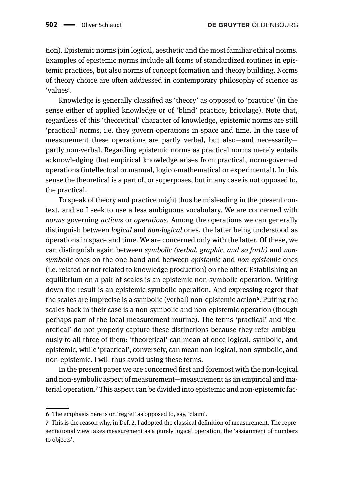tion). Epistemic norms join logical, aesthetic and the most familiar ethical norms. Examples of epistemic norms include all forms of standardized routines in epistemic practices, but also norms of concept formation and theory building. Norms of theory choice are often addressed in contemporary philosophy of science as 'values'.

Knowledge is generally classified as 'theory' as opposed to 'practice' (in the sense either of applied knowledge or of 'blind' practice, bricolage). Note that, regardless of this 'theoretical' character of knowledge, epistemic norms are still 'practical' norms, i.e. they govern operations in space and time. In the case of measurement these operations are partly verbal, but also—and necessarily partly non-verbal. Regarding epistemic norms as practical norms merely entails acknowledging that empirical knowledge arises from practical, norm-governed operations (intellectual or manual, logico-mathematical or experimental). In this sense the theoretical is a part of, or superposes, but in any case is not opposed to, the practical.

To speak of theory and practice might thus be misleading in the present context, and so I seek to use a less ambiguous vocabulary. We are concerned with *norms* governing *actions* or *operations*. Among the operations we can generally distinguish between *logical* and *non-logical* ones, the latter being understood as operations in space and time. We are concerned only with the latter. Of these, we can distinguish again between *symbolic (verbal, graphic, and so forth)* and *nonsymbolic* ones on the one hand and between *epistemic* and *non-epistemic* ones (i.e. related or not related to knowledge production) on the other. Establishing an equilibrium on a pair of scales is an epistemic non-symbolic operation. Writing down the result is an epistemic symbolic operation. And expressing regret that the scales are imprecise is a symbolic (verbal) non-epistemic action<sup>6</sup>. Putting the scales back in their case is a non-symbolic and non-epistemic operation (though perhaps part of the local measurement routine). The terms 'practical' and 'theoretical' do not properly capture these distinctions because they refer ambiguously to all three of them: 'theoretical' can mean at once logical, symbolic, and epistemic, while 'practical', conversely, can mean non-logical, non-symbolic, and non-epistemic. I will thus avoid using these terms.

In the present paper we are concerned first and foremost with the non-logical and non-symbolic aspect of measurement—measurement as an empirical and material operation[.⁷](#page-5-1) This aspect can be divided into epistemic and non-epistemic fac-

<span id="page-5-0"></span>**<sup>6</sup>** The emphasis here is on 'regret' as opposed to, say, 'claim'.

<span id="page-5-1"></span>**<sup>7</sup>** This is the reason why, in Def. 2, I adopted the classical definition of measurement. The representational view takes measurement as a purely logical operation, the 'assignment of numbers to objects'.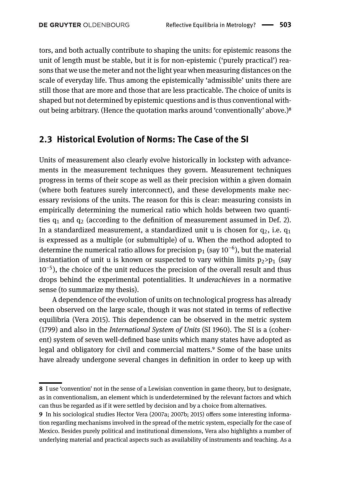tors, and both actually contribute to shaping the units: for epistemic reasons the unit of length must be stable, but it is for non-epistemic ('purely practical') reasons that we use the meter and not the light year when measuring distances on the scale of everyday life. Thus among the epistemically 'admissible' units there are still those that are more and those that are less practicable. The choice of units is shaped but not determined by epistemic questions and is thus conventional without being arbitrary. (Hence the quotation marks around 'conventionally' above.)<sup>8</sup>

#### **2.3 Historical Evolution of Norms: The Case of the SI**

Units of measurement also clearly evolve historically in lockstep with advancements in the measurement techniques they govern. Measurement techniques progress in terms of their scope as well as their precision within a given domain (where both features surely interconnect), and these developments make necessary revisions of the units. The reason for this is clear: measuring consists in empirically determining the numerical ratio which holds between two quantities  $q_1$  and  $q_2$  (according to the definition of measurement assumed in Def. 2). In a standardized measurement, a standardized unit u is chosen for  $q_2$ , i.e.  $q_1$ is expressed as a multiple (or submultiple) of u. When the method adopted to determine the numerical ratio allows for precision  $\bm{{\mathsf{p}}}_1$  (say 10 $^{-6}$ ), but the material instantiation of unit u is known or suspected to vary within limits  $p_2>p_1$  (say 10−5 ), the choice of the unit reduces the precision of the overall result and thus drops behind the experimental potentialities. It *underachieves* in a normative sense (to summarize my thesis).

A dependence of the evolution of units on technological progress has already been observed on the large scale, though it was not stated in terms of reflective equilibria (Vera 2015). This dependence can be observed in the metric system (1799) and also in the *International System of Units* (SI 1960). The SI is a (coherent) system of seven well-defined base units which many states have adopted as legal and obligatory for civil and commercial matters.<sup>9</sup> Some of the base units have already undergone several changes in definition in order to keep up with

<span id="page-6-0"></span>**<sup>8</sup>** I use 'convention' not in the sense of a Lewisian convention in game theory, but to designate, as in conventionalism, an element which is underdetermined by the relevant factors and which can thus be regarded as if it were settled by decision and by a choice from alternatives.

<span id="page-6-1"></span>**<sup>9</sup>** In his sociological studies Hector Vera (2007a; 2007b; 2015) offers some interesting information regarding mechanisms involved in the spread of the metric system, especially for the case of Mexico. Besides purely political and institutional dimensions, Vera also highlights a number of underlying material and practical aspects such as availability of instruments and teaching. As a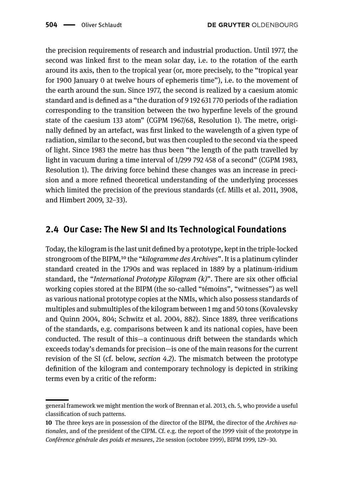the precision requirements of research and industrial production. Until 1977, the second was linked first to the mean solar day, i.e. to the rotation of the earth around its axis, then to the tropical year (or, more precisely, to the "tropical year for 1900 January 0 at twelve hours of ephemeris time"), i.e. to the movement of the earth around the sun. Since 1977, the second is realized by a caesium atomic standard and is defined as a "the duration of 9 192 631 770 periods of the radiation corresponding to the transition between the two hyperfine levels of the ground state of the caesium 133 atom" (CGPM 1967/68, Resolution 1). The metre, originally defined by an artefact, was first linked to the wavelength of a given type of radiation, similar to the second, but was then coupled to the second via the speed of light. Since 1983 the metre has thus been "the length of the path travelled by light in vacuum during a time interval of 1/299 792 458 of a second" (CGPM 1983, Resolution 1). The driving force behind these changes was an increase in precision and a more refined theoretical understanding of the underlying processes which limited the precision of the previous standards (cf. Mills et al. 2011, 3908, and Himbert 2009, 32–33).

#### **2.4 Our Case: The New SI and Its Technological Foundations**

Today, the kilogram is the last unit defined by a prototype, kept in the triple-locked strongroom of the BIPM,<sup>10</sup> the "*kilogramme des Archives*". It is a platinum cylinder standard created in the 1790s and was replaced in 1889 by a platinum-iridium standard, the "*International Prototype Kilogram (k)*". There are six other official working copies stored at the BIPM (the so-called "témoins", "witnesses") as well as various national prototype copies at the NMIs, which also possess standards of multiples and submultiples of the kilogram between 1 mg and 50 tons (Kovalevsky and Quinn 2004, 804; Schwitz et al. 2004, 882). Since 1889, three verifications of the standards, e.g. comparisons between k and its national copies, have been conducted. The result of this—a continuous drift between the standards which exceeds today's demands for precision—is one of the main reasons for the current revision of the SI (cf. below, *section 4.2*). The mismatch between the prototype definition of the kilogram and contemporary technology is depicted in striking terms even by a critic of the reform:

general framework we might mention the work of Brennan et al. 2013, ch. 5, who provide a useful classification of such patterns.

<span id="page-7-0"></span>**<sup>10</sup>** The three keys are in possession of the director of the BIPM, the director of the *Archives nationales*, and of the president of the CIPM. Cf. e.g. the report of the 1999 visit of the prototype in *Conférence générale des poids et mesures*, 21e session (octobre 1999), BIPM 1999, 129–30.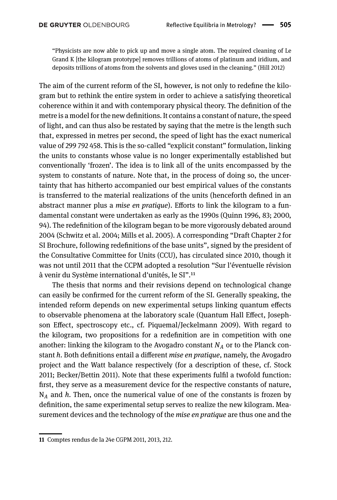"Physicists are now able to pick up and move a single atom. The required cleaning of Le Grand K [the kilogram prototype] removes trillions of atoms of platinum and iridium, and deposits trillions of atoms from the solvents and gloves used in the cleaning." (Hill 2012)

The aim of the current reform of the SI, however, is not only to redefine the kilogram but to rethink the entire system in order to achieve a satisfying theoretical coherence within it and with contemporary physical theory. The definition of the metre is a model for the new definitions. It contains a constant of nature, the speed of light, and can thus also be restated by saying that the metre is the length such that, expressed in metres per second, the speed of light has the exact numerical value of 299 792 458. This is the so-called "explicit constant" formulation, linking the units to constants whose value is no longer experimentally established but conventionally 'frozen'. The idea is to link all of the units encompassed by the system to constants of nature. Note that, in the process of doing so, the uncertainty that has hitherto accompanied our best empirical values of the constants is transferred to the material realizations of the units (henceforth defined in an abstract manner plus a *mise en pratique*). Efforts to link the kilogram to a fundamental constant were undertaken as early as the 1990s (Quinn 1996, 83; 2000, 94). The redefinition of the kilogram began to be more vigorously debated around 2004 (Schwitz et al. 2004; Mills et al. 2005). A corresponding "Draft Chapter 2 for SI Brochure, following redefinitions of the base units", signed by the president of the Consultative Committee for Units (CCU), has circulated since 2010, though it was not until 2011 that the CCPM adopted a resolution "Sur l'éventuelle révision à venir du Système international d'unités, le SI".<sup>11</sup>

The thesis that norms and their revisions depend on technological change can easily be confirmed for the current reform of the SI. Generally speaking, the intended reform depends on new experimental setups linking quantum effects to observable phenomena at the laboratory scale (Quantum Hall Effect, Josephson Effect, spectroscopy etc., cf. Piquemal/Jeckelmann 2009). With regard to the kilogram, two propositions for a redefinition are in competition with one another: linking the kilogram to the Avogadro constant  $N_A$  or to the Planck constant *h*. Both definitions entail a different *mise en pratique*, namely, the Avogadro project and the Watt balance respectively (for a description of these, cf. Stock 2011; Becker/Bettin 2011). Note that these experiments fulfil a twofold function: first, they serve as a measurement device for the respective constants of nature, N*<sup>A</sup>* and *h*. Then, once the numerical value of one of the constants is frozen by definition, the same experimental setup serves to realize the new kilogram. Measurement devices and the technology of the *mise en pratique* are thus one and the

<span id="page-8-0"></span>**<sup>11</sup>** Comptes rendus de la 24e CGPM 2011, 2013, 212.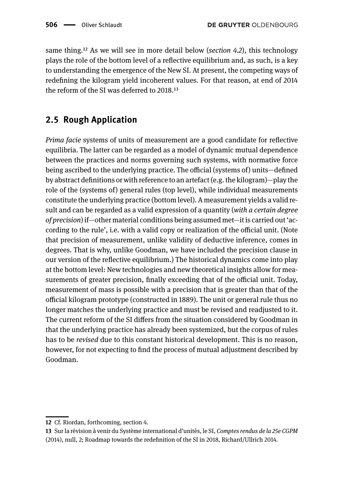same thing.<sup>12</sup> As we will see in more detail below (*section 4.2*), this technology plays the role of the bottom level of a reflective equilibrium and, as such, is a key to understanding the emergence of the New SI. At present, the competing ways of redefining the kilogram yield incoherent values. For that reason, at end of 2014 the reform of the SI was deferred to  $2018$ <sup>13</sup>

#### **2.5 Rough Application**

*Prima facie* systems of units of measurement are a good candidate for reflective equilibria. The latter can be regarded as a model of dynamic mutual dependence between the practices and norms governing such systems, with normative force being ascribed to the underlying practice. The official (systems of) units—defined by abstract definitions or with reference to an artefact (e.g. the kilogram)—play the role of the (systems of) general rules (top level), while individual measurements constitute the underlying practice (bottom level). A measurement yields a valid result and can be regarded as a valid expression of a quantity (*with a certain degree of precision*) if—other material conditions being assumed met—it is carried out 'according to the rule', i.e. with a valid copy or realization of the official unit. (Note that precision of measurement, unlike validity of deductive inference, comes in degrees. That is why, unlike Goodman, we have included the precision clause in our version of the reflective equilibrium.) The historical dynamics come into play at the bottom level: New technologies and new theoretical insights allow for measurements of greater precision, finally exceeding that of the official unit. Today, measurement of mass is possible with a precision that is greater than that of the official kilogram prototype (constructed in 1889). The unit or general rule thus no longer matches the underlying practice and must be revised and readjusted to it. The current reform of the SI differs from the situation considered by Goodman in that the underlying practice has already been systemized, but the corpus of rules has to be *revised* due to this constant historical development. This is no reason, however, for not expecting to find the process of mutual adjustment described by Goodman.

<span id="page-9-0"></span>**<sup>12</sup>** Cf. Riordan, forthcoming, section 4.

<span id="page-9-1"></span>**<sup>13</sup>** Sur la révision à venir du Système international d'unités, le SI, *Comptes rendus de la 25e CGPM* (2014), null, 2; Roadmap towards the redefinition of the SI in 2018, Richard/Ullrich 2014.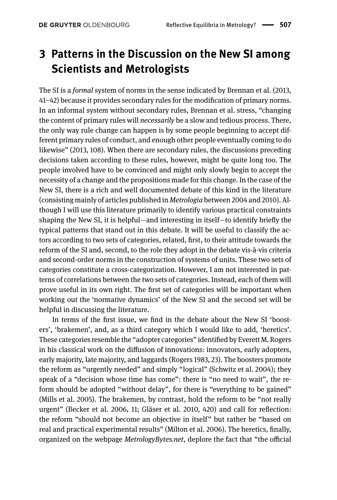## **3 Patterns in the Discussion on the New SI among Scientists and Metrologists**

The SI is a *formal* system of norms in the sense indicated by Brennan et al. (2013, 41–42) because it provides secondary rules for the modification of primary norms. In an informal system without secondary rules, Brennan et al. stress, "changing the content of primary rules will *necessarily* be a slow and tedious process. There, the only way rule change can happen is by some people beginning to accept different primary rules of conduct, and enough other people eventually coming to do likewise" (2013, 108). When there are secondary rules, the discussions preceding decisions taken according to these rules, however, might be quite long too. The people involved have to be convinced and might only slowly begin to accept the necessity of a change and the propositions made for this change. In the case of the New SI, there is a rich and well documented debate of this kind in the literature (consisting mainly of articles published in *Metrologia* between 2004 and 2010). Although I will use this literature primarily to identify various practical constraints shaping the New SI, it is helpful—and interesting in itself—to identify briefly the typical patterns that stand out in this debate. It will be useful to classify the actors according to two sets of categories, related, first, to their attitude towards the reform of the SI and, second, to the role they adopt in the debate vis-à-vis criteria and second-order norms in the construction of systems of units. These two sets of categories constitute a cross-categorization. However, I am not interested in patterns of correlations between the two sets of categories. Instead, each of them will prove useful in its own right. The first set of categories will be important when working out the 'normative dynamics' of the New SI and the second set will be helpful in discussing the literature.

In terms of the first issue, we find in the debate about the New SI 'boosters', 'brakemen', and, as a third category which I would like to add, 'heretics'. These categories resemble the "adopter categories" identified by Everett M. Rogers in his classical work on the diffusion of innovations: innovators, early adopters, early majority, late majority, and laggards (Rogers 1983, 23). The boosters promote the reform as "urgently needed" and simply "logical" (Schwitz et al. 2004); they speak of a "decision whose time has come": there is "no need to wait", the reform should be adopted "without delay", for there is "everything to be gained" (Mills et al. 2005). The brakemen, by contrast, hold the reform to be "not really urgent" (Becker et al. 2006, 11; Gläser et al. 2010, 420) and call for reflection: the reform "should not become an objective in itself" but rather be "based on real and practical experimental results" (Milton et al. 2006). The heretics, finally, organized on the webpage *MetrologyBytes.net*, deplore the fact that "the official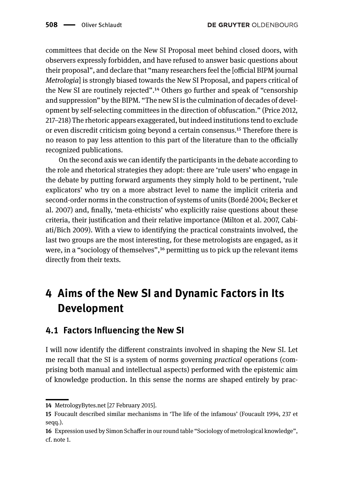committees that decide on the New SI Proposal meet behind closed doors, with observers expressly forbidden, and have refused to answer basic questions about their proposal", and declare that "many researchers feel the [official BIPM journal *Metrologia*] is strongly biased towards the New SI Proposal, and papers critical of the New SI are routinely rejected".<sup>14</sup> Others go further and speak of "censorship" and suppression" by the BIPM. "The new SI is the culmination of decades of development by self-selecting committees in the direction of obfuscation." (Price 2012, 217–218) The rhetoric appears exaggerated, but indeed institutions tend to exclude or even discredit criticism going beyond a certain consensus.<sup>15</sup> Therefore there is no reason to pay less attention to this part of the literature than to the officially recognized publications.

On the second axis we can identify the participants in the debate according to the role and rhetorical strategies they adopt: there are 'rule users' who engage in the debate by putting forward arguments they simply hold to be pertinent, 'rule explicators' who try on a more abstract level to name the implicit criteria and second-order norms in the construction of systems of units (Bordé 2004; Becker et al. 2007) and, finally, 'meta-ethicists' who explicitly raise questions about these criteria, their justification and their relative importance (Milton et al. 2007, Cabiati/Bich 2009). With a view to identifying the practical constraints involved, the last two groups are the most interesting, for these metrologists are engaged, as it were, in a "sociology of themselves", $16$  permitting us to pick up the relevant items directly from their texts.

# **4 Aims of the New SI and Dynamic Factors in Its Development**

### **4.1 Factors Influencing the New SI**

I will now identify the different constraints involved in shaping the New SI. Let me recall that the SI is a system of norms governing *practical* operations (comprising both manual and intellectual aspects) performed with the epistemic aim of knowledge production. In this sense the norms are shaped entirely by prac-

<span id="page-11-0"></span>**<sup>14</sup>** MetrologyBytes.net [27 February 2015].

<span id="page-11-1"></span>**<sup>15</sup>** Foucault described similar mechanisms in 'The life of the infamous' (Foucault 1994, 237 et seqq.).

<span id="page-11-2"></span>**<sup>16</sup>** Expression used by Simon Schaffer in our round table "Sociology of metrological knowledge", cf. note 1.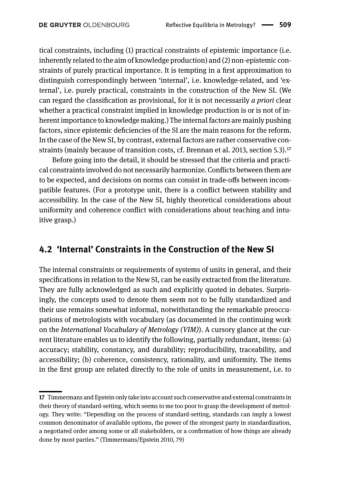tical constraints, including (1) practical constraints of epistemic importance (i.e. inherently related to the aim of knowledge production) and (2) non-epistemic constraints of purely practical importance. It is tempting in a first approximation to distinguish correspondingly between 'internal', i.e. knowledge-related, and 'external', i.e. purely practical, constraints in the construction of the New SI. (We can regard the classification as provisional, for it is not necessarily *a priori* clear whether a practical constraint implied in knowledge production is or is not of inherent importance to knowledge making.) The internal factors are mainly pushing factors, since epistemic deficiencies of the SI are the main reasons for the reform. In the case of the New SI, by contrast, external factors are rather conservative constraints (mainly because of transition costs, cf. Brennan et al. 2013, section 5.3).<sup>17</sup>

Before going into the detail, it should be stressed that the criteria and practical constraints involved do not necessarily harmonize. Conflicts between them are to be expected, and decisions on norms can consist in trade-offs between incompatible features. (For a prototype unit, there is a conflict between stability and accessibility. In the case of the New SI, highly theoretical considerations about uniformity and coherence conflict with considerations about teaching and intuitive grasp.)

#### **4.2 'Internal' Constraints in the Construction of the New SI**

The internal constraints or requirements of systems of units in general, and their specifications in relation to the New SI, can be easily extracted from the literature. They are fully acknowledged as such and explicitly quoted in debates. Surprisingly, the concepts used to denote them seem not to be fully standardized and their use remains somewhat informal, notwithstanding the remarkable preoccupations of metrologists with vocabulary (as documented in the continuing work on the *International Vocabulary of Metrology (VIM)*). A cursory glance at the current literature enables us to identify the following, partially redundant, items: (a) accuracy; stability, constancy, and durability; reproducibility, traceability, and accessibility; (b) coherence, consistency, rationality, and uniformity. The items in the first group are related directly to the role of units in measurement, i.e. to

<span id="page-12-0"></span>**<sup>17</sup>** Timmermans and Epstein only take into account such conservative and external constraints in their theory of standard-setting, which seems to me too poor to grasp the development of metrology. They write: "Depending on the process of standard-setting, standards can imply a lowest common denominator of available options, the power of the strongest party in standardization, a negotiated order among some or all stakeholders, or a confirmation of how things are already done by most parties." (Timmermans/Epstein 2010, 79)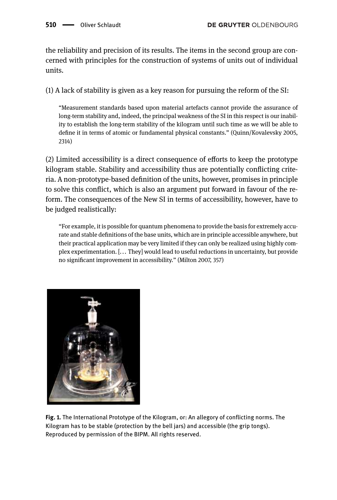the reliability and precision of its results. The items in the second group are concerned with principles for the construction of systems of units out of individual units.

(1) A lack of stability is given as a key reason for pursuing the reform of the SI:

"Measurement standards based upon material artefacts cannot provide the assurance of long-term stability and, indeed, the principal weakness of the SI in this respect is our inability to establish the long-term stability of the kilogram until such time as we will be able to define it in terms of atomic or fundamental physical constants." (Quinn/Kovalevsky 2005, 2314)

(2) Limited accessibility is a direct consequence of efforts to keep the prototype kilogram stable. Stability and accessibility thus are potentially conflicting criteria. A non-prototype-based definition of the units, however, promises in principle to solve this conflict, which is also an argument put forward in favour of the reform. The consequences of the New SI in terms of accessibility, however, have to be judged realistically:

"For example, it is possible for quantum phenomena to provide the basis for extremely accurate and stable definitions of the base units, which are in principle accessible anywhere, but their practical application may be very limited if they can only be realized using highly complex experimentation. [... They] would lead to useful reductions in uncertainty, but provide no significant improvement in accessibility." (Milton 2007, 357)



**Fig. 1.** The International Prototype of the Kilogram, or: An allegory of conflicting norms. The Kilogram has to be stable (protection by the bell jars) and accessible (the grip tongs). Reproduced by permission of the BIPM. All rights reserved.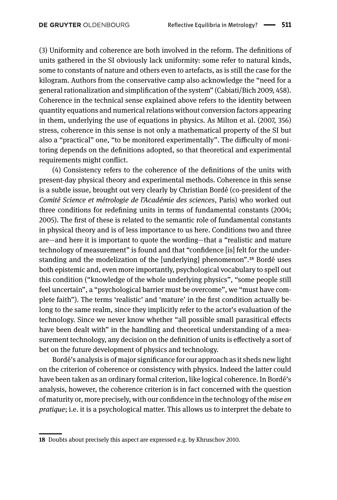(3) Uniformity and coherence are both involved in the reform. The definitions of units gathered in the SI obviously lack uniformity: some refer to natural kinds, some to constants of nature and others even to artefacts, as is still the case for the kilogram. Authors from the conservative camp also acknowledge the "need for a general rationalization and simplification of the system" (Cabiati/Bich 2009, 458). Coherence in the technical sense explained above refers to the identity between quantity equations and numerical relations without conversion factors appearing in them, underlying the use of equations in physics. As Milton et al. (2007, 356) stress, coherence in this sense is not only a mathematical property of the SI but also a "practical" one, "to be monitored experimentally". The difficulty of monitoring depends on the definitions adopted, so that theoretical and experimental requirements might conflict.

(4) Consistency refers to the coherence of the definitions of the units with present-day physical theory and experimental methods. Coherence in this sense is a subtle issue, brought out very clearly by Christian Bordé (co-president of the *Comité Science et métrologie de l'Académie des sciences*, Paris) who worked out three conditions for redefining units in terms of fundamental constants (2004; 2005). The first of these is related to the semantic role of fundamental constants in physical theory and is of less importance to us here. Conditions two and three are—and here it is important to quote the wording—that a "realistic and mature technology of measurement" is found and that "confidence [is] felt for the understanding and the modelization of the [underlying] phenomenon".<sup>18</sup> Bordé uses both epistemic and, even more importantly, psychological vocabulary to spell out this condition ("knowledge of the whole underlying physics", "some people still feel uncertain", a "psychological barrier must be overcome", we "must have complete faith"). The terms 'realistic' and 'mature' in the first condition actually belong to the same realm, since they implicitly refer to the actor's evaluation of the technology. Since we never know whether "all possible small parasitical effects have been dealt with" in the handling and theoretical understanding of a measurement technology, any decision on the definition of units is effectively a sort of bet on the future development of physics and technology.

Bordé's analysis is of major significance for our approach as it sheds new light on the criterion of coherence or consistency with physics. Indeed the latter could have been taken as an ordinary formal criterion, like logical coherence. In Bordé's analysis, however, the coherence criterion is in fact concerned with the question of maturity or, more precisely, with our confidence in the technology of the *mise en pratique*; i.e. it is a psychological matter. This allows us to interpret the debate to

<span id="page-14-0"></span>**<sup>18</sup>** Doubts about precisely this aspect are expressed e.g. by Khruschov 2010.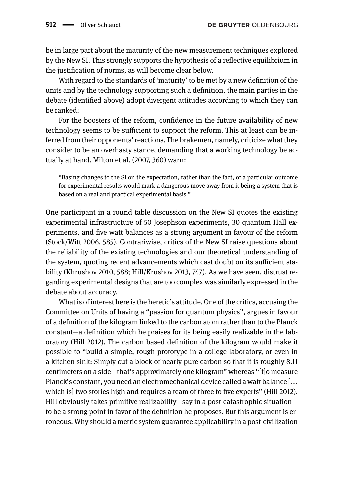be in large part about the maturity of the new measurement techniques explored by the New SI. This strongly supports the hypothesis of a reflective equilibrium in the justification of norms, as will become clear below.

With regard to the standards of 'maturity' to be met by a new definition of the units and by the technology supporting such a definition, the main parties in the debate (identified above) adopt divergent attitudes according to which they can be ranked:

For the boosters of the reform, confidence in the future availability of new technology seems to be sufficient to support the reform. This at least can be inferred from their opponents' reactions. The brakemen, namely, criticize what they consider to be an overhasty stance, demanding that a working technology be actually at hand. Milton et al. (2007, 360) warn:

"Basing changes to the SI on the expectation, rather than the fact, of a particular outcome for experimental results would mark a dangerous move away from it being a system that is based on a real and practical experimental basis."

One participant in a round table discussion on the New SI quotes the existing experimental infrastructure of 50 Josephson experiments, 30 quantum Hall experiments, and five watt balances as a strong argument in favour of the reform (Stock/Witt 2006, 585). Contrariwise, critics of the New SI raise questions about the reliability of the existing technologies and our theoretical understanding of the system, quoting recent advancements which cast doubt on its sufficient stability (Khrushov 2010, 588; Hill/Krushov 2013, 747). As we have seen, distrust regarding experimental designs that are too complex was similarly expressed in the debate about accuracy.

What is of interest here is the heretic's attitude. One of the critics, accusing the Committee on Units of having a "passion for quantum physics", argues in favour of a definition of the kilogram linked to the carbon atom rather than to the Planck constant—a definition which he praises for its being easily realizable in the laboratory (Hill 2012). The carbon based definition of the kilogram would make it possible to "build a simple, rough prototype in a college laboratory, or even in a kitchen sink: Simply cut a block of nearly pure carbon so that it is roughly 8.11 centimeters on a side—that's approximately one kilogram" whereas "[t]o measure Planck's constant, you need an electromechanical device called a watt balance [... which is] two stories high and requires a team of three to five experts" (Hill 2012). Hill obviously takes primitive realizability—say in a post-catastrophic situation to be a strong point in favor of the definition he proposes. But this argument is erroneous. Why should a metric system guarantee applicability in a post-civilization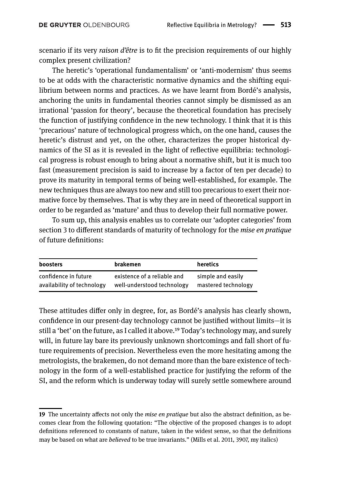scenario if its very *raison d'être* is to fit the precision requirements of our highly complex present civilization?

The heretic's 'operational fundamentalism' or 'anti-modernism' thus seems to be at odds with the characteristic normative dynamics and the shifting equilibrium between norms and practices. As we have learnt from Bordé's analysis, anchoring the units in fundamental theories cannot simply be dismissed as an irrational 'passion for theory', because the theoretical foundation has precisely the function of justifying confidence in the new technology. I think that it is this 'precarious' nature of technological progress which, on the one hand, causes the heretic's distrust and yet, on the other, characterizes the proper historical dynamics of the SI as it is revealed in the light of reflective equilibria: technological progress is robust enough to bring about a normative shift, but it is much too fast (measurement precision is said to increase by a factor of ten per decade) to prove its maturity in temporal terms of being well-established, for example. The new techniques thus are always too new and still too precarious to exert their normative force by themselves. That is why they are in need of theoretical support in order to be regarded as 'mature' and thus to develop their full normative power.

To sum up, this analysis enables us to correlate our 'adopter categories' from section 3 to different standards of maturity of technology for the *mise en pratique* of future definitions:

| <b>boosters</b>            | brakemen                    | heretics            |
|----------------------------|-----------------------------|---------------------|
| confidence in future       | existence of a reliable and | simple and easily   |
| availability of technology | well-understood technology  | mastered technology |

These attitudes differ only in degree, for, as Bordé's analysis has clearly shown, confidence in our present-day technology cannot be justified without limits—it is still a 'bet' on the future, as I called it above.<sup>19</sup> Today's technology may, and surely will, in future lay bare its previously unknown shortcomings and fall short of future requirements of precision. Nevertheless even the more hesitating among the metrologists, the brakemen, do not demand more than the bare existence of technology in the form of a well-established practice for justifying the reform of the SI, and the reform which is underway today will surely settle somewhere around

<span id="page-16-0"></span>**<sup>19</sup>** The uncertainty affects not only the *mise en pratique* but also the abstract definition, as becomes clear from the following quotation: "The objective of the proposed changes is to adopt definitions referenced to constants of nature, taken in the widest sense, so that the definitions may be based on what are *believed* to be true invariants." (Mills et al. 2011, 3907, my italics)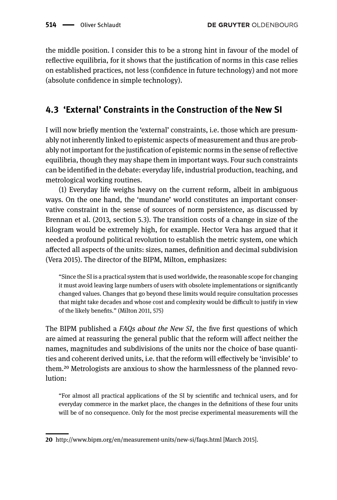the middle position. I consider this to be a strong hint in favour of the model of reflective equilibria, for it shows that the justification of norms in this case relies on established practices, not less (confidence in future technology) and not more (absolute confidence in simple technology).

### **4.3 'External' Constraints in the Construction of the New SI**

I will now briefly mention the 'external' constraints, i.e. those which are presumably not inherently linked to epistemic aspects of measurement and thus are probably not important for the justification of epistemic norms in the sense of reflective equilibria, though they may shape them in important ways. Four such constraints can be identified in the debate: everyday life, industrial production, teaching, and metrological working routines.

(1) Everyday life weighs heavy on the current reform, albeit in ambiguous ways. On the one hand, the 'mundane' world constitutes an important conservative constraint in the sense of sources of norm persistence, as discussed by Brennan et al. (2013, section 5.3). The transition costs of a change in size of the kilogram would be extremely high, for example. Hector Vera has argued that it needed a profound political revolution to establish the metric system, one which affected all aspects of the units: sizes, names, definition and decimal subdivision (Vera 2015). The director of the BIPM, Milton, emphasizes:

"Since the SI is a practical system that is used worldwide, the reasonable scope for changing it must avoid leaving large numbers of users with obsolete implementations or significantly changed values. Changes that go beyond these limits would require consultation processes that might take decades and whose cost and complexity would be difficult to justify in view of the likely benefits." (Milton 2011, 575)

The BIPM published a *FAQs about the New SI*, the five first questions of which are aimed at reassuring the general public that the reform will affect neither the names, magnitudes and subdivisions of the units nor the choice of base quantities and coherent derived units, i.e. that the reform will effectively be 'invisible' to them.<sup>20</sup> Metrologists are anxious to show the harmlessness of the planned revolution:

"For almost all practical applications of the SI by scientific and technical users, and for everyday commerce in the market place, the changes in the definitions of these four units will be of no consequence. Only for the most precise experimental measurements will the

<span id="page-17-0"></span>**<sup>20</sup>** http://www.bipm.org/en/measurement-units/new-si/faqs.html [March 2015].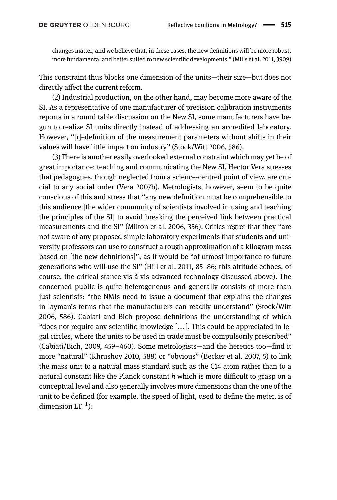changes matter, and we believe that, in these cases, the new definitions will be more robust, more fundamental and better suited to new scientific developments." (Mills et al. 2011, 3909)

This constraint thus blocks one dimension of the units—their size—but does not directly affect the current reform.

(2) Industrial production, on the other hand, may become more aware of the SI. As a representative of one manufacturer of precision calibration instruments reports in a round table discussion on the New SI, some manufacturers have begun to realize SI units directly instead of addressing an accredited laboratory. However, "[r]edefinition of the measurement parameters without shifts in their values will have little impact on industry" (Stock/Witt 2006, 586).

(3) There is another easily overlooked external constraint which may yet be of great importance: teaching and communicating the New SI. Hector Vera stresses that pedagogues, though neglected from a science-centred point of view, are crucial to any social order (Vera 2007b). Metrologists, however, seem to be quite conscious of this and stress that "any new definition must be comprehensible to this audience [the wider community of scientists involved in using and teaching the principles of the SI] to avoid breaking the perceived link between practical measurements and the SI" (Milton et al. 2006, 356). Critics regret that they "are not aware of any proposed simple laboratory experiments that students and university professors can use to construct a rough approximation of a kilogram mass based on [the new definitions]", as it would be "of utmost importance to future generations who will use the SI" (Hill et al. 2011, 85–86; this attitude echoes, of course, the critical stance vis-à-vis advanced technology discussed above). The concerned public is quite heterogeneous and generally consists of more than just scientists: "the NMIs need to issue a document that explains the changes in layman's terms that the manufacturers can readily understand" (Stock/Witt 2006, 586). Cabiati and Bich propose definitions the understanding of which "does not require any scientific knowledge [... ]. This could be appreciated in legal circles, where the units to be used in trade must be compulsorily prescribed" (Cabiati/Bich, 2009, 459–460). Some metrologists—and the heretics too—find it more "natural" (Khrushov 2010, 588) or "obvious" (Becker et al. 2007, 5) to link the mass unit to a natural mass standard such as the C14 atom rather than to a natural constant like the Planck constant *h* which is more difficult to grasp on a conceptual level and also generally involves more dimensions than the one of the unit to be defined (for example, the speed of light, used to define the meter, is of dimension  $LT^{-1}$ ):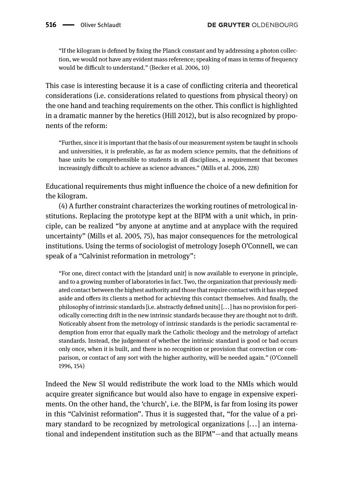"If the kilogram is defined by fixing the Planck constant and by addressing a photon collection, we would not have any evident mass reference; speaking of mass in terms of frequency would be difficult to understand." (Becker et al. 2006, 10)

This case is interesting because it is a case of conflicting criteria and theoretical considerations (i.e. considerations related to questions from physical theory) on the one hand and teaching requirements on the other. This conflict is highlighted in a dramatic manner by the heretics (Hill 2012), but is also recognized by proponents of the reform:

"Further, since it is important that the basis of our measurement system be taught in schools and universities, it is preferable, as far as modern science permits, that the definitions of base units be comprehensible to students in all disciplines, a requirement that becomes increasingly difficult to achieve as science advances." (Mills et al. 2006, 228)

Educational requirements thus might influence the choice of a new definition for the kilogram.

(4) A further constraint characterizes the working routines of metrological institutions. Replacing the prototype kept at the BIPM with a unit which, in principle, can be realized "by anyone at anytime and at anyplace with the required uncertainty" (Mills et al. 2005, 75), has major consequences for the metrological institutions. Using the terms of sociologist of metrology Joseph O'Connell, we can speak of a "Calvinist reformation in metrology":

"For one, direct contact with the [standard unit] is now available to everyone in principle, and to a growing number of laboratories in fact. Two, the organization that previously mediated contact between the highest authority and those that require contact with it has stepped aside and offers its clients a method for achieving this contact themselves. And finally, the philosophy of intrinsic standards [i.e. abstractly defined units] [... ] has no provision for periodically correcting drift in the new intrinsic standards because they are thought not to drift. Noticeably absent from the metrology of intrinsic standards is the periodic sacramental redemption from error that equally mark the Catholic theology and the metrology of artefact standards. Instead, the judgement of whether the intrinsic standard is good or bad occurs only once, when it is built, and there is no recognition or provision that correction or comparison, or contact of any sort with the higher authority, will be needed again." (O'Connell 1996, 154)

Indeed the New SI would redistribute the work load to the NMIs which would acquire greater significance but would also have to engage in expensive experiments. On the other hand, the 'church', i.e. the BIPM, is far from losing its power in this "Calvinist reformation". Thus it is suggested that, "for the value of a primary standard to be recognized by metrological organizations [... ] an international and independent institution such as the BIPM"—and that actually means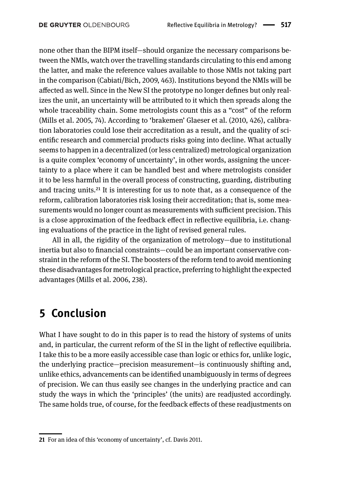none other than the BIPM itself—should organize the necessary comparisons between the NMIs, watch over the travelling standards circulating to this end among the latter, and make the reference values available to those NMIs not taking part in the comparison (Cabiati/Bich, 2009, 463). Institutions beyond the NMIs will be affected as well. Since in the New SI the prototype no longer defines but only realizes the unit, an uncertainty will be attributed to it which then spreads along the whole traceability chain. Some metrologists count this as a "cost" of the reform (Mills et al. 2005, 74). According to 'brakemen' Glaeser et al. (2010, 426), calibration laboratories could lose their accreditation as a result, and the quality of scientific research and commercial products risks going into decline. What actually seems to happen in a decentralized (or less centralized) metrological organization is a quite complex 'economy of uncertainty', in other words, assigning the uncertainty to a place where it can be handled best and where metrologists consider it to be less harmful in the overall process of constructing, guarding, distributing and tracing units.<sup>21</sup> It is interesting for us to note that, as a consequence of the reform, calibration laboratories risk losing their accreditation; that is, some measurements would no longer count as measurements with sufficient precision. This is a close approximation of the feedback effect in reflective equilibria, i.e. changing evaluations of the practice in the light of revised general rules.

All in all, the rigidity of the organization of metrology—due to institutional inertia but also to financial constraints—could be an important conservative constraint in the reform of the SI. The boosters of the reform tend to avoid mentioning these disadvantages for metrological practice, preferring to highlight the expected advantages (Mills et al. 2006, 238).

## **5 Conclusion**

What I have sought to do in this paper is to read the history of systems of units and, in particular, the current reform of the SI in the light of reflective equilibria. I take this to be a more easily accessible case than logic or ethics for, unlike logic, the underlying practice—precision measurement—is continuously shifting and, unlike ethics, advancements can be identified unambiguously in terms of degrees of precision. We can thus easily see changes in the underlying practice and can study the ways in which the 'principles' (the units) are readjusted accordingly. The same holds true, of course, for the feedback effects of these readjustments on

<span id="page-20-0"></span>**<sup>21</sup>** For an idea of this 'economy of uncertainty', cf. Davis 2011.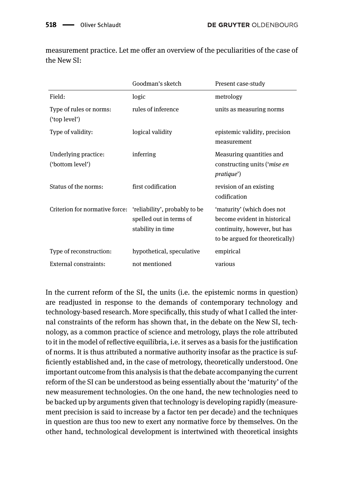|                                          | Goodman's sketch                                                              | Present case-study                                                                                                            |
|------------------------------------------|-------------------------------------------------------------------------------|-------------------------------------------------------------------------------------------------------------------------------|
| Field:                                   | logic                                                                         | metrology                                                                                                                     |
| Type of rules or norms:<br>('top level') | rules of inference                                                            | units as measuring norms                                                                                                      |
| Type of validity:                        | logical validity                                                              | epistemic validity, precision<br>measurement                                                                                  |
| Underlying practice:<br>('bottom level') | inferring                                                                     | Measuring quantities and<br>constructing units (' <i>mise en</i><br><i>pratique</i> ')                                        |
| Status of the norms:                     | first codification                                                            | revision of an existing<br>codification                                                                                       |
| Criterion for normative force:           | 'reliability', probably to be<br>spelled out in terms of<br>stability in time | 'maturity' (which does not<br>become evident in historical<br>continuity, however, but has<br>to be argued for theoretically) |
| Type of reconstruction:                  | hypothetical, speculative                                                     | empirical                                                                                                                     |
| External constraints:                    | not mentioned                                                                 | various                                                                                                                       |

measurement practice. Let me offer an overview of the peculiarities of the case of the New SI:

In the current reform of the SI, the units (i.e. the epistemic norms in question) are readjusted in response to the demands of contemporary technology and technology-based research. More specifically, this study of what I called the internal constraints of the reform has shown that, in the debate on the New SI, technology, as a common practice of science and metrology, plays the role attributed to it in the model of reflective equilibria, i.e. it serves as a basis for the justification of norms. It is thus attributed a normative authority insofar as the practice is sufficiently established and, in the case of metrology, theoretically understood. One important outcome from this analysis is that the debate accompanying the current reform of the SI can be understood as being essentially about the 'maturity' of the new measurement technologies. On the one hand, the new technologies need to be backed up by arguments given that technology is developing rapidly (measurement precision is said to increase by a factor ten per decade) and the techniques in question are thus too new to exert any normative force by themselves. On the other hand, technological development is intertwined with theoretical insights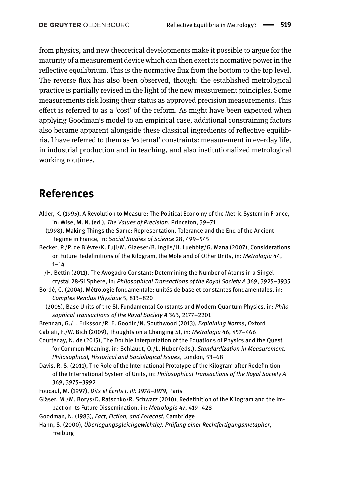from physics, and new theoretical developments make it possible to argue for the maturity of a measurement device which can then exert its normative power in the reflective equilibrium. This is the normative flux from the bottom to the top level. The reverse flux has also been observed, though: the established metrological practice is partially revised in the light of the new measurement principles. Some measurements risk losing their status as approved precision measurements. This effect is referred to as a 'cost' of the reform. As might have been expected when applying Goodman's model to an empirical case, additional constraining factors also became apparent alongside these classical ingredients of reflective equilibria. I have referred to them as 'external' constraints: measurement in everday life, in industrial production and in teaching, and also institutionalized metrological working routines.

## **References**

- Alder, K. (1995), A Revolution to Measure: The Political Economy of the Metric System in France, in: Wise, M. N. (ed.), *The Values of Precision*, Princeton, 39–71
- (1998), Making Things the Same: Representation, Tolerance and the End of the Ancient Regime in France, in: *Social Studies of Science* 28, 499–545
- Becker, P./P. de Bièvre/K. Fuji/M. Glaeser/B. Inglis/H. Luebbig/G. Mana (2007), Considerations on Future Redefinitions of the Kilogram, the Mole and of Other Units, in: *Metrologia* 44, 1–14
- —/H. Bettin (2011), The Avogadro Constant: Determining the Number of Atoms in a Singelcrystal 28-Si Sphere, in: *Philosophical Transactions of the Royal Society A* 369, 3925–3935
- Bordé, C. (2004), Métrologie fondamentale: unités de base et constantes fondamentales, in: *Comptes Rendus Physique* 5, 813–820
- (2005), Base Units of the SI, Fundamental Constants and Modern Quantum Physics, in: *Philosophical Transactions of the Royal Society A* 363, 2177–2201
- Brennan, G./L. Eriksson/R. E. Goodin/N. Southwood (2013), *Explaining Norms*, Oxford
- Cabiati, F./W. Bich (2009), Thoughts on a Changing SI, in: *Metrologia* 46, 457–466
- Courtenay, N. de (2015), The Double Interpretation of the Equations of Physics and the Quest for Common Meaning, in: Schlaudt, O./L. Huber (eds.), *Standardization in Measurement. Philosophical, Historical and Sociological Issues*, London, 53–68
- Davis, R. S. (2011), The Role of the International Prototype of the Kilogram after Redefinition of the International System of Units, in: *Philosophical Transactions of the Royal Society A* 369, 3975–3992
- Foucaul, M. (1997), *Dits et Écrits t. III: 1976–1979*, Paris
- Gläser, M./M. Borys/D. Ratschko/R. Schwarz (2010), Redefinition of the Kilogram and the Impact on Its Future Dissemination, in: *Metrologia* 47, 419–428
- Goodman, N. (1983), *Fact, Fiction, and Forecast*, Cambridge
- Hahn, S. (2000), *Überlegungsgleichgewicht(e). Prüfung einer Rechtfertigungsmetapher*, Freiburg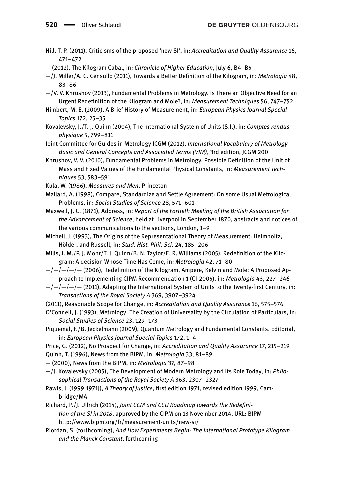- Hill, T. P. (2011), Criticisms of the proposed 'new SI', in: *Accreditation and Quality Assurance* 16, 471–472
- (2012), The Kilogram Cabal, in: *Chronicle of Higher Education*, July 6, B4–B5
- —/J. Miller/A. C. Censullo (2011), Towards a Better Definition of the Kilogram, in: *Metrologia* 48, 83–86
- —/V. V. Khrushov (2013), Fundamental Problems in Metrology. Is There an Objective Need for an Urgent Redefinition of the Kilogram and Mole?, in: *Measurement Techniques* 56, 747–752
- Himbert, M. E. (2009), A Brief History of Measurement, in: *European Physics Journal Special Topics* 172, 25–35
- Kovalevsky, J./T. J. Quinn (2004), The International System of Units (S.I.), in: *Comptes rendus physique* 5, 799–811

Joint Committee for Guides in Metrology JCGM (2012), *International Vocabulary of Metrology— Basic and General Concepts and Associated Terms (VIM)*, 3rd edition, JCGM 200

- Khrushov, V. V. (2010), Fundamental Problems in Metrology. Possible Definition of the Unit of Mass and Fixed Values of the Fundamental Physical Constants, in: *Measurement Techniques* 53, 583–591
- Kula, W. (1986), *Measures and Men*, Princeton
- Mallard, A. (1998), Compare, Standardize and Settle Agreement: On some Usual Metrological Problems, in: *Social Studies of Science* 28, 571–601
- Maxwell, J. C. (1871), Address, in: *Report of the Fortieth Meeting of the British Association for the Advancement of Science*, held at Liverpool in September 1870, abstracts and notices of the various communications to the sections, London, 1–9
- Michell, J. (1993), The Origins of the Representational Theory of Measurement: Helmholtz, Hölder, and Russell, in: *Stud. Hist. Phil. Sci.* 24, 185–206
- Mills, I. M./P. J. Mohr/T. J. Quinn/B. N. Taylor/E. R. Williams (2005), Redefinition of the Kilogram: A decision Whose Time Has Come, in: *Metrologia* 42, 71–80
- $-/-/-/-$  (2006), Redefinition of the Kilogram, Ampere, Kelvin and Mole: A Proposed Approach to Implementing CIPM Recommendation 1 (CI-2005), in: *Metrologia* 43, 227–246
- $-/-/-/-$  (2011), Adapting the International System of Units to the Twenty-first Century, in: *Transactions of the Royal Society A* 369, 3907–3924
- (2011), Reasonable Scope for Change, in: *Accreditation and Quality Assurance* 16, 575–576
- O'Connell, J. (1993), Metrology: The Creation of Universality by the Circulation of Particulars, in: *Social Studies of Science* 23, 129–173
- Piquemal, F./B. Jeckelmann (2009), Quantum Metrology and Fundamental Constants. Editorial, in: *European Physics Journal Special Topics* 172, 1–4
- Price, G. (2012), No Prospect for Change, in: *Accreditation and Quality Assurance* 17, 215–219
- Quinn, T. (1996), News from the BIPM, in: *Metrologia* 33, 81–89
- (2000), News from the BIPM, in: *Metrologia* 37, 87–98
- —/J. Kovalevsky (2005), The Development of Modern Metrology and Its Role Today, in: *Philosophical Transactions of the Royal Society A* 363, 2307–2327
- Rawls, J. (1999[1971]), *A Theory of Justice*, first edition 1971, revised edition 1999, Cambridge/MA
- Richard, P./J. Ullrich (2014), *Joint CCM and CCU Roadmap towards the Redefinition of the SI in 2018*, approved by the CIPM on 13 November 2014, URL: BIPM http://www.bipm.org/fr/measurement-units/new-si/
- Riordan, S. (forthcoming), *And How Experiments Begin: The International Prototype Kilogram and the Planck Constant*, forthcoming